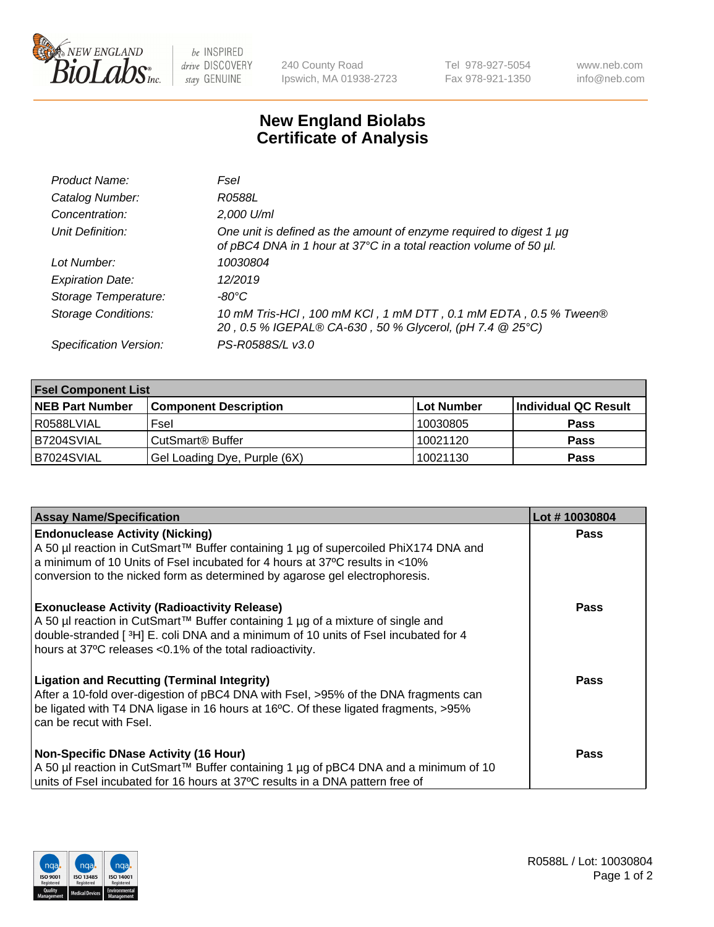

 $be$  INSPIRED drive DISCOVERY stay GENUINE

240 County Road Ipswich, MA 01938-2723 Tel 978-927-5054 Fax 978-921-1350 www.neb.com info@neb.com

## **New England Biolabs Certificate of Analysis**

| Product Name:              | Fsel                                                                                                                                      |
|----------------------------|-------------------------------------------------------------------------------------------------------------------------------------------|
| Catalog Number:            | R0588L                                                                                                                                    |
| Concentration:             | 2,000 U/ml                                                                                                                                |
| Unit Definition:           | One unit is defined as the amount of enzyme required to digest 1 µg<br>of pBC4 DNA in 1 hour at 37°C in a total reaction volume of 50 µl. |
| Lot Number:                | 10030804                                                                                                                                  |
| <b>Expiration Date:</b>    | 12/2019                                                                                                                                   |
| Storage Temperature:       | -80°C                                                                                                                                     |
| <b>Storage Conditions:</b> | 10 mM Tris-HCl, 100 mM KCl, 1 mM DTT, 0.1 mM EDTA, 0.5 % Tween®<br>20, 0.5 % IGEPAL® CA-630, 50 % Glycerol, (pH 7.4 @ 25°C)               |
| Specification Version:     | PS-R0588S/L v3.0                                                                                                                          |

| <b>Fsel Component List</b> |                              |            |                      |  |  |
|----------------------------|------------------------------|------------|----------------------|--|--|
| <b>NEB Part Number</b>     | <b>Component Description</b> | Lot Number | Individual QC Result |  |  |
| R0588LVIAL                 | Fsel                         | 10030805   | <b>Pass</b>          |  |  |
| B7204SVIAL                 | CutSmart <sup>®</sup> Buffer | 10021120   | <b>Pass</b>          |  |  |
| B7024SVIAL                 | Gel Loading Dye, Purple (6X) | 10021130   | <b>Pass</b>          |  |  |

| <b>Assay Name/Specification</b>                                                                                                                                                                                                                                                          | Lot #10030804 |
|------------------------------------------------------------------------------------------------------------------------------------------------------------------------------------------------------------------------------------------------------------------------------------------|---------------|
| <b>Endonuclease Activity (Nicking)</b><br>  A 50 µl reaction in CutSmart™ Buffer containing 1 µg of supercoiled PhiX174 DNA and                                                                                                                                                          | <b>Pass</b>   |
| a minimum of 10 Units of Fsel incubated for 4 hours at 37°C results in <10%<br>conversion to the nicked form as determined by agarose gel electrophoresis.                                                                                                                               |               |
| <b>Exonuclease Activity (Radioactivity Release)</b><br>A 50 µl reaction in CutSmart™ Buffer containing 1 µg of a mixture of single and<br>double-stranded [3H] E. coli DNA and a minimum of 10 units of Fsel incubated for 4<br>hours at 37°C releases <0.1% of the total radioactivity. | <b>Pass</b>   |
| <b>Ligation and Recutting (Terminal Integrity)</b><br>After a 10-fold over-digestion of pBC4 DNA with Fsel, >95% of the DNA fragments can<br>be ligated with T4 DNA ligase in 16 hours at 16°C. Of these ligated fragments, >95%<br>can be recut with Fsel.                              | Pass          |
| <b>Non-Specific DNase Activity (16 Hour)</b><br>  A 50 µl reaction in CutSmart™ Buffer containing 1 µg of pBC4 DNA and a minimum of 10<br>units of Fsel incubated for 16 hours at 37°C results in a DNA pattern free of                                                                  | <b>Pass</b>   |